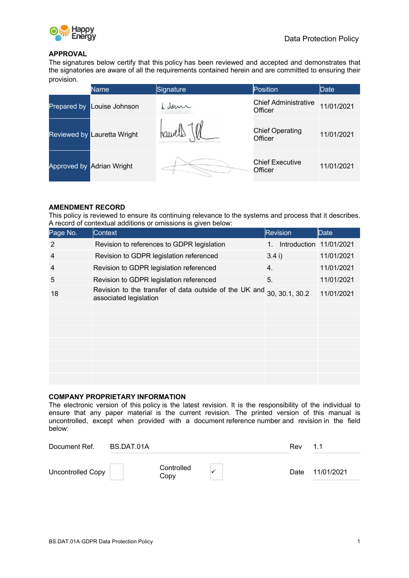

#### **APPROVAL**

The signatures below certify that this policy has been reviewed and accepted and demonstrates that the signatories are aware of all the requirements contained herein and are committed to ensuring their provision.

|             | Name                        | Signature | Position                               | <b>Date</b> |
|-------------|-----------------------------|-----------|----------------------------------------|-------------|
| Prepared by | Louise Johnson              | L. dame   | <b>Chief Administrative</b><br>Officer | 11/01/2021  |
|             | Reviewed by Lauretta Wright | hawell    | <b>Chief Operating</b><br>Officer      | 11/01/2021  |
|             | Approved by Adrian Wright   |           | <b>Chief Executive</b><br>Officer      | 11/01/2021  |

#### **AMENDMENT RECORD**

This policy is reviewed to ensure its continuing relevance to the systems and process that it describes. A record of contextual additions or omissions is given below:

| Page No.       | <b>Context</b>                                                                   | <b>Revision</b>         | Date       |
|----------------|----------------------------------------------------------------------------------|-------------------------|------------|
| 2              | Revision to references to GDPR legislation                                       | Introduction 11/01/2021 |            |
| $\overline{4}$ | Revision to GDPR legislation referenced                                          | 3.4 i)                  | 11/01/2021 |
| $\overline{4}$ | Revision to GDPR legislation referenced                                          | 4.                      | 11/01/2021 |
| 5              | Revision to GDPR legislation referenced                                          | 5.                      | 11/01/2021 |
| 18             | Revision to the transfer of data outside of the UK and<br>associated legislation | 30, 30.1, 30.2          | 11/01/2021 |
|                |                                                                                  |                         |            |
|                |                                                                                  |                         |            |
|                |                                                                                  |                         |            |
|                |                                                                                  |                         |            |
|                |                                                                                  |                         |            |
|                |                                                                                  |                         |            |
|                |                                                                                  |                         |            |

#### **COMPANY PROPRIETARY INFORMATION**

The electronic version of this policy is the latest revision. It is the responsibility of the individual to ensure that any paper material is the current revision. The printed version of this manual is uncontrolled, except when provided with a document reference number and revision in the field below:

| Document Ref.     | BS.DAT.01A         | Rev  | 11         |
|-------------------|--------------------|------|------------|
| Uncontrolled Copy | Controlled<br>Copv | Date | 11/01/2021 |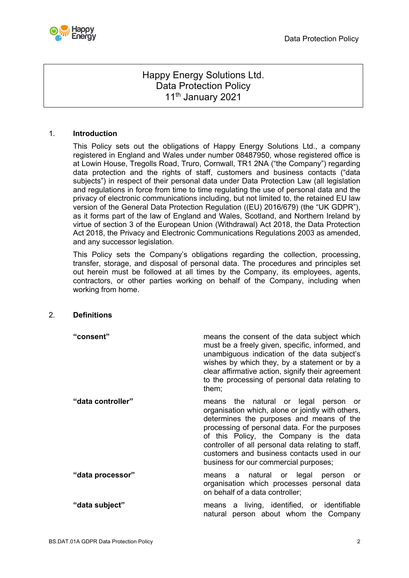

# Happy Energy Solutions Ltd. Data Protection Policy 11<sup>th</sup> January 2021

## 1. **Introduction**

This Policy sets out the obligations of Happy Energy Solutions Ltd., a company registered in England and Wales under number 08487950, whose registered office is at Lowin House, Tregolls Road, Truro, Cornwall, TR1 2NA ("the Company") regarding data protection and the rights of staff, customers and business contacts ("data subjects") in respect of their personal data under Data Protection Law (all legislation and regulations in force from time to time regulating the use of personal data and the privacy of electronic communications including, but not limited to, the retained EU law version of the General Data Protection Regulation ((EU) 2016/679) (the "UK GDPR"), as it forms part of the law of England and Wales, Scotland, and Northern Ireland by virtue of section 3 of the European Union (Withdrawal) Act 2018, the Data Protection Act 2018, the Privacy and Electronic Communications Regulations 2003 as amended, and any successor legislation.

This Policy sets the Company's obligations regarding the collection, processing, transfer, storage, and disposal of personal data. The procedures and principles set out herein must be followed at all times by the Company, its employees, agents, contractors, or other parties working on behalf of the Company, including when working from home.

#### 2. **Definitions**

| "consent"         | means the consent of the data subject which<br>must be a freely given, specific, informed, and<br>unambiguous indication of the data subject's<br>wishes by which they, by a statement or by a<br>clear affirmative action, signify their agreement<br>to the processing of personal data relating to<br>them;                                                                  |
|-------------------|---------------------------------------------------------------------------------------------------------------------------------------------------------------------------------------------------------------------------------------------------------------------------------------------------------------------------------------------------------------------------------|
| "data controller" | means the natural or legal person or<br>organisation which, alone or jointly with others,<br>determines the purposes and means of the<br>processing of personal data. For the purposes<br>of this Policy, the Company is the data<br>controller of all personal data relating to staff,<br>customers and business contacts used in our<br>business for our commercial purposes; |
| "data processor"  | means a natural or legal person or<br>organisation which processes personal data<br>on behalf of a data controller;                                                                                                                                                                                                                                                             |
| "data subject"    | means a living, identified, or identifiable<br>natural person about whom the Company                                                                                                                                                                                                                                                                                            |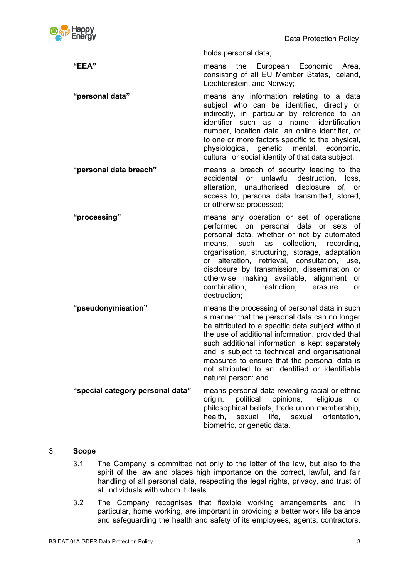

Data Protection Policy

holds personal data;

**"EEA"** means the European Economic Area, consisting of all EU Member States, Iceland, Liechtenstein, and Norway;

**"personal data"** means any information relating to a data subject who can be identified, directly or indirectly, in particular by reference to an identifier such as a name, identification number, location data, an online identifier, or to one or more factors specific to the physical, physiological, genetic, mental, economic, cultural, or social identity of that data subject;

**"personal data breach"** means a breach of security leading to the accidental or unlawful destruction, loss, alteration, unauthorised disclosure of, or access to, personal data transmitted, stored, or otherwise processed;

**"processing"** means any operation or set of operations performed on personal data or sets of personal data, whether or not by automated means, such as collection, recording, organisation, structuring, storage, adaptation or alteration, retrieval, consultation, use, disclosure by transmission, dissemination or otherwise making available, alignment or combination, restriction, erasure or destruction;

**"pseudonymisation"** means the processing of personal data in such a manner that the personal data can no longer be attributed to a specific data subject without the use of additional information, provided that such additional information is kept separately and is subject to technical and organisational measures to ensure that the personal data is not attributed to an identified or identifiable natural person; and **"special category personal data"** means personal data revealing racial or ethnic

origin, political opinions, religious or philosophical beliefs, trade union membership, health, sexual life, sexual orientation, biometric, or genetic data.

## 3. **Scope**

- 3.1 The Company is committed not only to the letter of the law, but also to the spirit of the law and places high importance on the correct, lawful, and fair handling of all personal data, respecting the legal rights, privacy, and trust of all individuals with whom it deals.
- 3.2 The Company recognises that flexible working arrangements and, in particular, home working, are important in providing a better work life balance and safeguarding the health and safety of its employees, agents, contractors,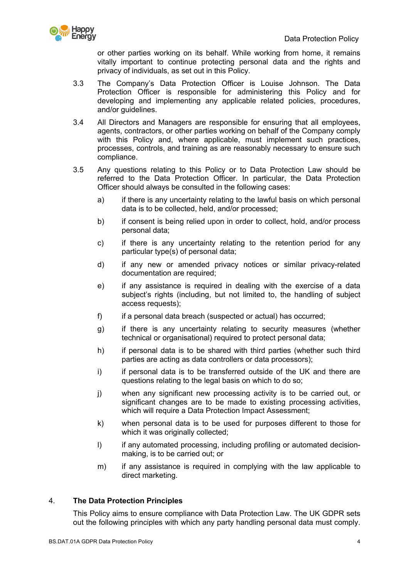

or other parties working on its behalf. While working from home, it remains vitally important to continue protecting personal data and the rights and privacy of individuals, as set out in this Policy.

- 3.3 The Company's Data Protection Officer is Louise Johnson. The Data Protection Officer is responsible for administering this Policy and for developing and implementing any applicable related policies, procedures, and/or guidelines.
- 3.4 All Directors and Managers are responsible for ensuring that all employees, agents, contractors, or other parties working on behalf of the Company comply with this Policy and, where applicable, must implement such practices, processes, controls, and training as are reasonably necessary to ensure such compliance.
- 3.5 Any questions relating to this Policy or to Data Protection Law should be referred to the Data Protection Officer. In particular, the Data Protection Officer should always be consulted in the following cases:
	- a) if there is any uncertainty relating to the lawful basis on which personal data is to be collected, held, and/or processed;
	- b) if consent is being relied upon in order to collect, hold, and/or process personal data;
	- c) if there is any uncertainty relating to the retention period for any particular type(s) of personal data;
	- d) if any new or amended privacy notices or similar privacy-related documentation are required;
	- e) if any assistance is required in dealing with the exercise of a data subject's rights (including, but not limited to, the handling of subject access requests);
	- f) if a personal data breach (suspected or actual) has occurred;
	- g) if there is any uncertainty relating to security measures (whether technical or organisational) required to protect personal data;
	- h) if personal data is to be shared with third parties (whether such third parties are acting as data controllers or data processors);
	- i) if personal data is to be transferred outside of the UK and there are questions relating to the legal basis on which to do so;
	- j) when any significant new processing activity is to be carried out, or significant changes are to be made to existing processing activities. which will require a Data Protection Impact Assessment;
	- k) when personal data is to be used for purposes different to those for which it was originally collected;
	- I) if any automated processing, including profiling or automated decisionmaking, is to be carried out; or
	- m) if any assistance is required in complying with the law applicable to direct marketing.

## 4. **The Data Protection Principles**

This Policy aims to ensure compliance with Data Protection Law. The UK GDPR sets out the following principles with which any party handling personal data must comply.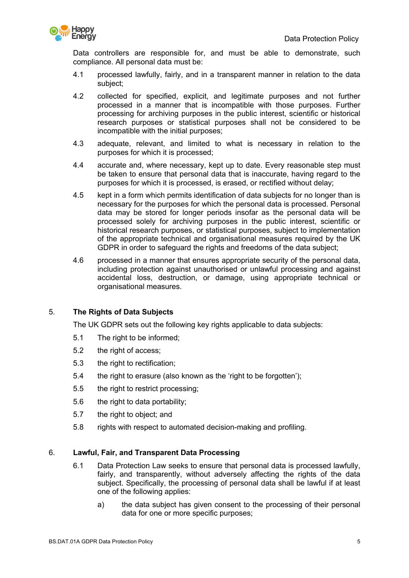

Data controllers are responsible for, and must be able to demonstrate, such compliance. All personal data must be:

- 4.1 processed lawfully, fairly, and in a transparent manner in relation to the data subject;
- 4.2 collected for specified, explicit, and legitimate purposes and not further processed in a manner that is incompatible with those purposes. Further processing for archiving purposes in the public interest, scientific or historical research purposes or statistical purposes shall not be considered to be incompatible with the initial purposes;
- 4.3 adequate, relevant, and limited to what is necessary in relation to the purposes for which it is processed;
- 4.4 accurate and, where necessary, kept up to date. Every reasonable step must be taken to ensure that personal data that is inaccurate, having regard to the purposes for which it is processed, is erased, or rectified without delay;
- 4.5 kept in a form which permits identification of data subjects for no longer than is necessary for the purposes for which the personal data is processed. Personal data may be stored for longer periods insofar as the personal data will be processed solely for archiving purposes in the public interest, scientific or historical research purposes, or statistical purposes, subject to implementation of the appropriate technical and organisational measures required by the UK GDPR in order to safeguard the rights and freedoms of the data subject;
- 4.6 processed in a manner that ensures appropriate security of the personal data, including protection against unauthorised or unlawful processing and against accidental loss, destruction, or damage, using appropriate technical or organisational measures.

## 5. **The Rights of Data Subjects**

The UK GDPR sets out the following key rights applicable to data subjects:

- 5.1 The right to be informed;
- 5.2 the right of access:
- 5.3 the right to rectification;
- 5.4 the right to erasure (also known as the 'right to be forgotten');
- 5.5 the right to restrict processing;
- 5.6 the right to data portability;
- 5.7 the right to object; and
- 5.8 rights with respect to automated decision-making and profiling.

#### 6. **Lawful, Fair, and Transparent Data Processing**

- 6.1 Data Protection Law seeks to ensure that personal data is processed lawfully, fairly, and transparently, without adversely affecting the rights of the data subject. Specifically, the processing of personal data shall be lawful if at least one of the following applies:
	- a) the data subject has given consent to the processing of their personal data for one or more specific purposes;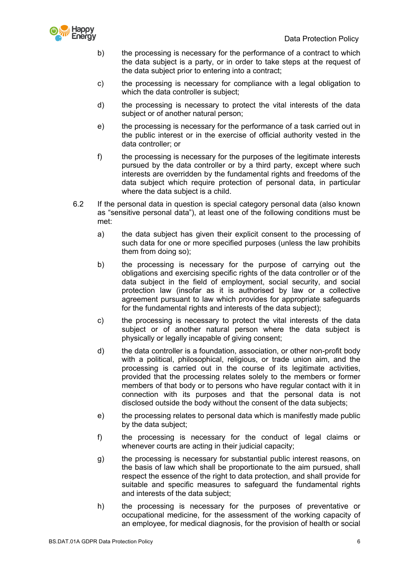

- b) the processing is necessary for the performance of a contract to which the data subject is a party, or in order to take steps at the request of the data subject prior to entering into a contract;
- c) the processing is necessary for compliance with a legal obligation to which the data controller is subject;
- d) the processing is necessary to protect the vital interests of the data subject or of another natural person;
- e) the processing is necessary for the performance of a task carried out in the public interest or in the exercise of official authority vested in the data controller; or
- f) the processing is necessary for the purposes of the legitimate interests pursued by the data controller or by a third party, except where such interests are overridden by the fundamental rights and freedoms of the data subject which require protection of personal data, in particular where the data subject is a child.
- 6.2 If the personal data in question is special category personal data (also known as "sensitive personal data"), at least one of the following conditions must be met:
	- a) the data subject has given their explicit consent to the processing of such data for one or more specified purposes (unless the law prohibits them from doing so);
	- b) the processing is necessary for the purpose of carrying out the obligations and exercising specific rights of the data controller or of the data subject in the field of employment, social security, and social protection law (insofar as it is authorised by law or a collective agreement pursuant to law which provides for appropriate safeguards for the fundamental rights and interests of the data subject):
	- c) the processing is necessary to protect the vital interests of the data subject or of another natural person where the data subject is physically or legally incapable of giving consent;
	- d) the data controller is a foundation, association, or other non-profit body with a political, philosophical, religious, or trade union aim, and the processing is carried out in the course of its legitimate activities, provided that the processing relates solely to the members or former members of that body or to persons who have regular contact with it in connection with its purposes and that the personal data is not disclosed outside the body without the consent of the data subjects;
	- e) the processing relates to personal data which is manifestly made public by the data subject;
	- f) the processing is necessary for the conduct of legal claims or whenever courts are acting in their judicial capacity;
	- g) the processing is necessary for substantial public interest reasons, on the basis of law which shall be proportionate to the aim pursued, shall respect the essence of the right to data protection, and shall provide for suitable and specific measures to safeguard the fundamental rights and interests of the data subject;
	- h) the processing is necessary for the purposes of preventative or occupational medicine, for the assessment of the working capacity of an employee, for medical diagnosis, for the provision of health or social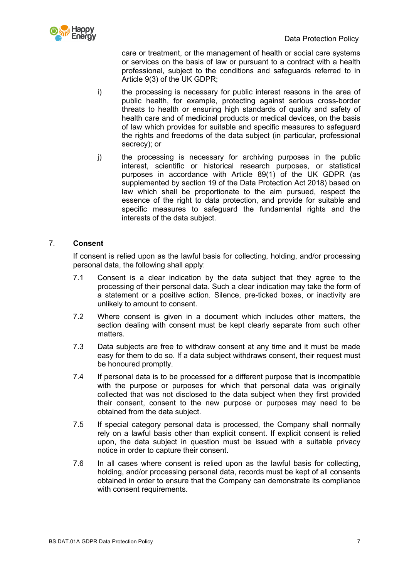

care or treatment, or the management of health or social care systems or services on the basis of law or pursuant to a contract with a health professional, subject to the conditions and safeguards referred to in Article 9(3) of the UK GDPR;

- i) the processing is necessary for public interest reasons in the area of public health, for example, protecting against serious cross-border threats to health or ensuring high standards of quality and safety of health care and of medicinal products or medical devices, on the basis of law which provides for suitable and specific measures to safeguard the rights and freedoms of the data subject (in particular, professional secrecy); or
- j) the processing is necessary for archiving purposes in the public interest, scientific or historical research purposes, or statistical purposes in accordance with Article 89(1) of the UK GDPR (as supplemented by section 19 of the Data Protection Act 2018) based on law which shall be proportionate to the aim pursued, respect the essence of the right to data protection, and provide for suitable and specific measures to safeguard the fundamental rights and the interests of the data subject.

# 7. **Consent**

If consent is relied upon as the lawful basis for collecting, holding, and/or processing personal data, the following shall apply:

- 7.1 Consent is a clear indication by the data subject that they agree to the processing of their personal data. Such a clear indication may take the form of a statement or a positive action. Silence, pre-ticked boxes, or inactivity are unlikely to amount to consent.
- 7.2 Where consent is given in a document which includes other matters, the section dealing with consent must be kept clearly separate from such other matters.
- 7.3 Data subjects are free to withdraw consent at any time and it must be made easy for them to do so. If a data subject withdraws consent, their request must be honoured promptly.
- 7.4 If personal data is to be processed for a different purpose that is incompatible with the purpose or purposes for which that personal data was originally collected that was not disclosed to the data subject when they first provided their consent, consent to the new purpose or purposes may need to be obtained from the data subject.
- 7.5 If special category personal data is processed, the Company shall normally rely on a lawful basis other than explicit consent. If explicit consent is relied upon, the data subject in question must be issued with a suitable privacy notice in order to capture their consent.
- 7.6 In all cases where consent is relied upon as the lawful basis for collecting, holding, and/or processing personal data, records must be kept of all consents obtained in order to ensure that the Company can demonstrate its compliance with consent requirements.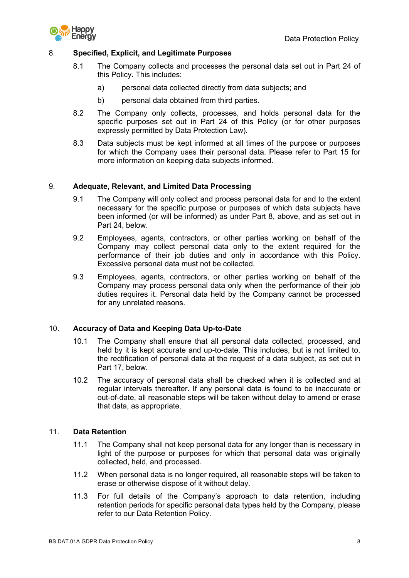



## 8. **Specified, Explicit, and Legitimate Purposes**

- 8.1 The Company collects and processes the personal data set out in Part 24 of this Policy. This includes:
	- a) personal data collected directly from data subjects; and
	- b) personal data obtained from third parties.
- 8.2 The Company only collects, processes, and holds personal data for the specific purposes set out in Part 24 of this Policy (or for other purposes expressly permitted by Data Protection Law).
- 8.3 Data subjects must be kept informed at all times of the purpose or purposes for which the Company uses their personal data. Please refer to Part 15 for more information on keeping data subjects informed.

# 9. **Adequate, Relevant, and Limited Data Processing**

- 9.1 The Company will only collect and process personal data for and to the extent necessary for the specific purpose or purposes of which data subjects have been informed (or will be informed) as under Part 8, above, and as set out in Part 24, below.
- 9.2 Employees, agents, contractors, or other parties working on behalf of the Company may collect personal data only to the extent required for the performance of their job duties and only in accordance with this Policy. Excessive personal data must not be collected.
- 9.3 Employees, agents, contractors, or other parties working on behalf of the Company may process personal data only when the performance of their job duties requires it. Personal data held by the Company cannot be processed for any unrelated reasons.

## 10. **Accuracy of Data and Keeping Data Up-to-Date**

- 10.1 The Company shall ensure that all personal data collected, processed, and held by it is kept accurate and up-to-date. This includes, but is not limited to, the rectification of personal data at the request of a data subject, as set out in Part 17, below.
- 10.2 The accuracy of personal data shall be checked when it is collected and at regular intervals thereafter. If any personal data is found to be inaccurate or out-of-date, all reasonable steps will be taken without delay to amend or erase that data, as appropriate.

## 11. **Data Retention**

- 11.1 The Company shall not keep personal data for any longer than is necessary in light of the purpose or purposes for which that personal data was originally collected, held, and processed.
- 11.2 When personal data is no longer required, all reasonable steps will be taken to erase or otherwise dispose of it without delay.
- 11.3 For full details of the Company's approach to data retention, including retention periods for specific personal data types held by the Company, please refer to our Data Retention Policy.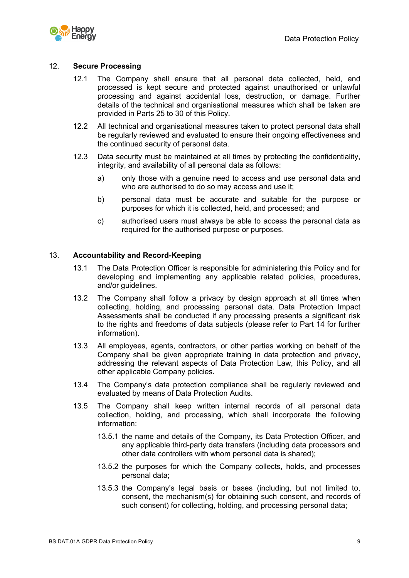

#### 12. **Secure Processing**

- 12.1 The Company shall ensure that all personal data collected, held, and processed is kept secure and protected against unauthorised or unlawful processing and against accidental loss, destruction, or damage. Further details of the technical and organisational measures which shall be taken are provided in Parts 25 to 30 of this Policy.
- 12.2 All technical and organisational measures taken to protect personal data shall be regularly reviewed and evaluated to ensure their ongoing effectiveness and the continued security of personal data.
- 12.3 Data security must be maintained at all times by protecting the confidentiality, integrity, and availability of all personal data as follows:
	- a) only those with a genuine need to access and use personal data and who are authorised to do so may access and use it:
	- b) personal data must be accurate and suitable for the purpose or purposes for which it is collected, held, and processed; and
	- c) authorised users must always be able to access the personal data as required for the authorised purpose or purposes.

#### 13. **Accountability and Record-Keeping**

- 13.1 The Data Protection Officer is responsible for administering this Policy and for developing and implementing any applicable related policies, procedures, and/or guidelines.
- 13.2 The Company shall follow a privacy by design approach at all times when collecting, holding, and processing personal data. Data Protection Impact Assessments shall be conducted if any processing presents a significant risk to the rights and freedoms of data subjects (please refer to Part 14 for further information).
- 13.3 All employees, agents, contractors, or other parties working on behalf of the Company shall be given appropriate training in data protection and privacy, addressing the relevant aspects of Data Protection Law, this Policy, and all other applicable Company policies.
- 13.4 The Company's data protection compliance shall be regularly reviewed and evaluated by means of Data Protection Audits.
- 13.5 The Company shall keep written internal records of all personal data collection, holding, and processing, which shall incorporate the following information:
	- 13.5.1 the name and details of the Company, its Data Protection Officer, and any applicable third-party data transfers (including data processors and other data controllers with whom personal data is shared);
	- 13.5.2 the purposes for which the Company collects, holds, and processes personal data;
	- 13.5.3 the Company's legal basis or bases (including, but not limited to, consent, the mechanism(s) for obtaining such consent, and records of such consent) for collecting, holding, and processing personal data;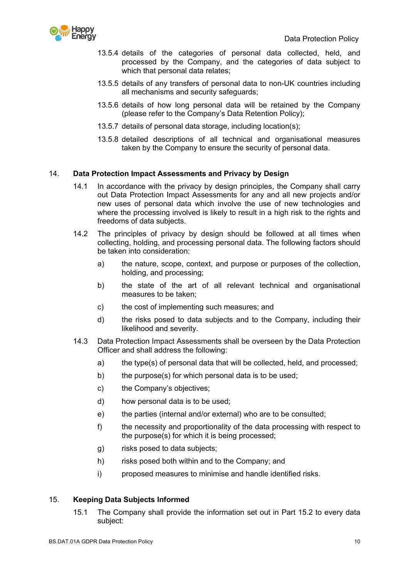

- 13.5.4 details of the categories of personal data collected, held, and processed by the Company, and the categories of data subject to which that personal data relates;
- 13.5.5 details of any transfers of personal data to non-UK countries including all mechanisms and security safeguards;
- 13.5.6 details of how long personal data will be retained by the Company (please refer to the Company's Data Retention Policy);
- 13.5.7 details of personal data storage, including location(s);
- 13.5.8 detailed descriptions of all technical and organisational measures taken by the Company to ensure the security of personal data.

## 14. **Data Protection Impact Assessments and Privacy by Design**

- 14.1 In accordance with the privacy by design principles, the Company shall carry out Data Protection Impact Assessments for any and all new projects and/or new uses of personal data which involve the use of new technologies and where the processing involved is likely to result in a high risk to the rights and freedoms of data subjects.
- 14.2 The principles of privacy by design should be followed at all times when collecting, holding, and processing personal data. The following factors should be taken into consideration:
	- a) the nature, scope, context, and purpose or purposes of the collection, holding, and processing;
	- b) the state of the art of all relevant technical and organisational measures to be taken;
	- c) the cost of implementing such measures; and
	- d) the risks posed to data subjects and to the Company, including their likelihood and severity.
- 14.3 Data Protection Impact Assessments shall be overseen by the Data Protection Officer and shall address the following:
	- a) the type(s) of personal data that will be collected, held, and processed;
	- b) the purpose(s) for which personal data is to be used;
	- c) the Company's objectives;
	- d) how personal data is to be used;
	- e) the parties (internal and/or external) who are to be consulted;
	- f) the necessity and proportionality of the data processing with respect to the purpose(s) for which it is being processed;
	- g) risks posed to data subjects;
	- h) risks posed both within and to the Company; and
	- i) proposed measures to minimise and handle identified risks.

## 15. **Keeping Data Subjects Informed**

15.1 The Company shall provide the information set out in Part 15.2 to every data subject: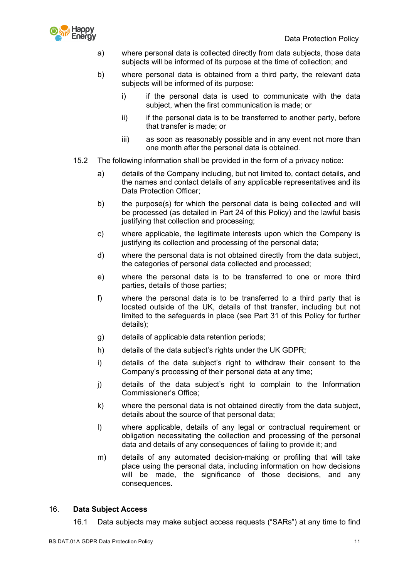

- a) where personal data is collected directly from data subjects, those data subjects will be informed of its purpose at the time of collection; and
- b) where personal data is obtained from a third party, the relevant data subjects will be informed of its purpose:
	- i) if the personal data is used to communicate with the data subject, when the first communication is made; or
	- ii) if the personal data is to be transferred to another party, before that transfer is made; or
	- iii) as soon as reasonably possible and in any event not more than one month after the personal data is obtained.
- 15.2 The following information shall be provided in the form of a privacy notice:
	- a) details of the Company including, but not limited to, contact details, and the names and contact details of any applicable representatives and its Data Protection Officer;
	- b) the purpose(s) for which the personal data is being collected and will be processed (as detailed in Part 24 of this Policy) and the lawful basis justifying that collection and processing;
	- c) where applicable, the legitimate interests upon which the Company is justifying its collection and processing of the personal data;
	- d) where the personal data is not obtained directly from the data subject, the categories of personal data collected and processed;
	- e) where the personal data is to be transferred to one or more third parties, details of those parties;
	- f) where the personal data is to be transferred to a third party that is located outside of the UK, details of that transfer, including but not limited to the safeguards in place (see Part 31 of this Policy for further details);
	- g) details of applicable data retention periods;
	- h) details of the data subject's rights under the UK GDPR;
	- i) details of the data subject's right to withdraw their consent to the Company's processing of their personal data at any time;
	- j) details of the data subject's right to complain to the Information Commissioner's Office;
	- k) where the personal data is not obtained directly from the data subject, details about the source of that personal data;
	- l) where applicable, details of any legal or contractual requirement or obligation necessitating the collection and processing of the personal data and details of any consequences of failing to provide it; and
	- m) details of any automated decision-making or profiling that will take place using the personal data, including information on how decisions will be made, the significance of those decisions, and any consequences.

## 16. **Data Subject Access**

16.1 Data subjects may make subject access requests ("SARs") at any time to find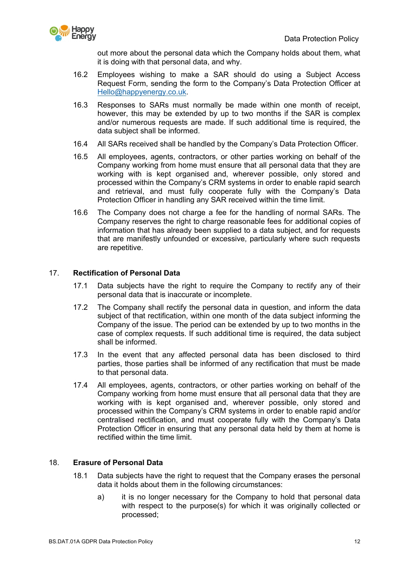

out more about the personal data which the Company holds about them, what it is doing with that personal data, and why.

- 16.2 Employees wishing to make a SAR should do using a Subject Access Request Form, sending the form to the Company's Data Protection Officer at Hello@happyenergy.co.uk.
- 16.3 Responses to SARs must normally be made within one month of receipt, however, this may be extended by up to two months if the SAR is complex and/or numerous requests are made. If such additional time is required, the data subject shall be informed.
- 16.4 All SARs received shall be handled by the Company's Data Protection Officer.
- 16.5 All employees, agents, contractors, or other parties working on behalf of the Company working from home must ensure that all personal data that they are working with is kept organised and, wherever possible, only stored and processed within the Company's CRM systems in order to enable rapid search and retrieval, and must fully cooperate fully with the Company's Data Protection Officer in handling any SAR received within the time limit.
- 16.6 The Company does not charge a fee for the handling of normal SARs. The Company reserves the right to charge reasonable fees for additional copies of information that has already been supplied to a data subject, and for requests that are manifestly unfounded or excessive, particularly where such requests are repetitive.

# 17. **Rectification of Personal Data**

- 17.1 Data subjects have the right to require the Company to rectify any of their personal data that is inaccurate or incomplete.
- 17.2 The Company shall rectify the personal data in question, and inform the data subject of that rectification, within one month of the data subject informing the Company of the issue. The period can be extended by up to two months in the case of complex requests. If such additional time is required, the data subject shall be informed.
- 17.3 In the event that any affected personal data has been disclosed to third parties, those parties shall be informed of any rectification that must be made to that personal data.
- 17.4 All employees, agents, contractors, or other parties working on behalf of the Company working from home must ensure that all personal data that they are working with is kept organised and, wherever possible, only stored and processed within the Company's CRM systems in order to enable rapid and/or centralised rectification, and must cooperate fully with the Company's Data Protection Officer in ensuring that any personal data held by them at home is rectified within the time limit.

## 18. **Erasure of Personal Data**

- 18.1 Data subjects have the right to request that the Company erases the personal data it holds about them in the following circumstances:
	- a) it is no longer necessary for the Company to hold that personal data with respect to the purpose(s) for which it was originally collected or processed;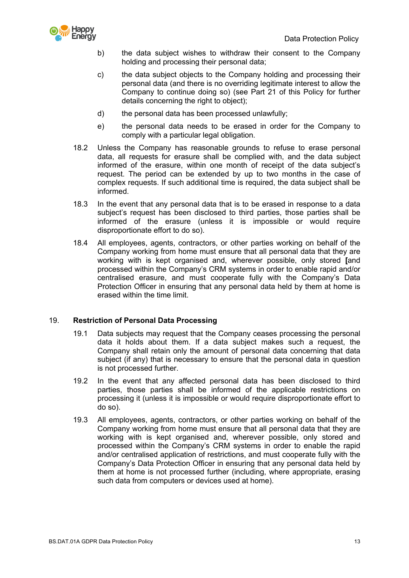

- b) the data subject wishes to withdraw their consent to the Company holding and processing their personal data;
- c) the data subject objects to the Company holding and processing their personal data (and there is no overriding legitimate interest to allow the Company to continue doing so) (see Part 21 of this Policy for further details concerning the right to object);
- d) the personal data has been processed unlawfully;
- e) the personal data needs to be erased in order for the Company to comply with a particular legal obligation.
- 18.2 Unless the Company has reasonable grounds to refuse to erase personal data, all requests for erasure shall be complied with, and the data subject informed of the erasure, within one month of receipt of the data subject's request. The period can be extended by up to two months in the case of complex requests. If such additional time is required, the data subject shall be informed.
- 18.3 In the event that any personal data that is to be erased in response to a data subject's request has been disclosed to third parties, those parties shall be informed of the erasure (unless it is impossible or would require disproportionate effort to do so).
- 18.4 All employees, agents, contractors, or other parties working on behalf of the Company working from home must ensure that all personal data that they are working with is kept organised and, wherever possible, only stored **[**and processed within the Company's CRM systems in order to enable rapid and/or centralised erasure, and must cooperate fully with the Company's Data Protection Officer in ensuring that any personal data held by them at home is erased within the time limit.

## 19. **Restriction of Personal Data Processing**

- 19.1 Data subjects may request that the Company ceases processing the personal data it holds about them. If a data subject makes such a request, the Company shall retain only the amount of personal data concerning that data subject (if any) that is necessary to ensure that the personal data in question is not processed further.
- 19.2 In the event that any affected personal data has been disclosed to third parties, those parties shall be informed of the applicable restrictions on processing it (unless it is impossible or would require disproportionate effort to do so).
- 19.3 All employees, agents, contractors, or other parties working on behalf of the Company working from home must ensure that all personal data that they are working with is kept organised and, wherever possible, only stored and processed within the Company's CRM systems in order to enable the rapid and/or centralised application of restrictions, and must cooperate fully with the Company's Data Protection Officer in ensuring that any personal data held by them at home is not processed further (including, where appropriate, erasing such data from computers or devices used at home).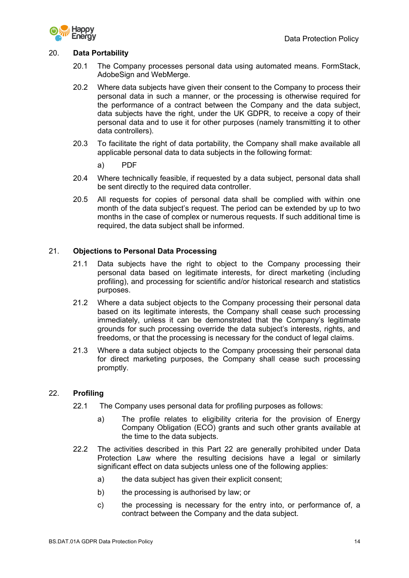

## 20. **Data Portability**

- 20.1 The Company processes personal data using automated means. FormStack, AdobeSign and WebMerge.
- 20.2 Where data subjects have given their consent to the Company to process their personal data in such a manner, or the processing is otherwise required for the performance of a contract between the Company and the data subject, data subjects have the right, under the UK GDPR, to receive a copy of their personal data and to use it for other purposes (namely transmitting it to other data controllers).
- 20.3 To facilitate the right of data portability, the Company shall make available all applicable personal data to data subjects in the following format:

a) PDF

- 20.4 Where technically feasible, if requested by a data subject, personal data shall be sent directly to the required data controller.
- 20.5 All requests for copies of personal data shall be complied with within one month of the data subject's request. The period can be extended by up to two months in the case of complex or numerous requests. If such additional time is required, the data subject shall be informed.

## 21. **Objections to Personal Data Processing**

- 21.1 Data subjects have the right to object to the Company processing their personal data based on legitimate interests, for direct marketing (including profiling), and processing for scientific and/or historical research and statistics purposes.
- 21.2 Where a data subject objects to the Company processing their personal data based on its legitimate interests, the Company shall cease such processing immediately, unless it can be demonstrated that the Company's legitimate grounds for such processing override the data subject's interests, rights, and freedoms, or that the processing is necessary for the conduct of legal claims.
- 21.3 Where a data subject objects to the Company processing their personal data for direct marketing purposes, the Company shall cease such processing promptly.

## 22. **Profiling**

- 22.1 The Company uses personal data for profiling purposes as follows:
	- a) The profile relates to eligibility criteria for the provision of Energy Company Obligation (ECO) grants and such other grants available at the time to the data subjects.
- 22.2 The activities described in this Part 22 are generally prohibited under Data Protection Law where the resulting decisions have a legal or similarly significant effect on data subjects unless one of the following applies:
	- a) the data subject has given their explicit consent;
	- b) the processing is authorised by law; or
	- c) the processing is necessary for the entry into, or performance of, a contract between the Company and the data subject.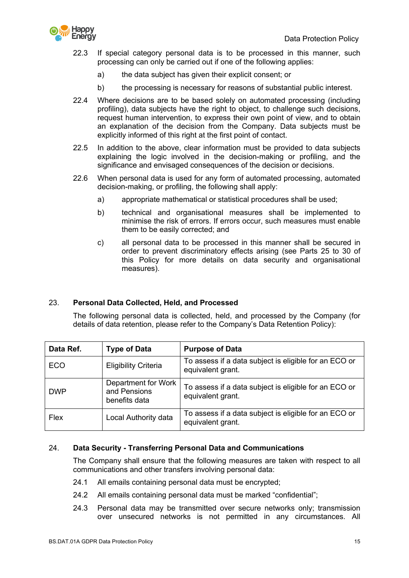

- 22.3 If special category personal data is to be processed in this manner, such processing can only be carried out if one of the following applies:
	- a) the data subject has given their explicit consent; or
	- b) the processing is necessary for reasons of substantial public interest.
- 22.4 Where decisions are to be based solely on automated processing (including profiling), data subjects have the right to object, to challenge such decisions, request human intervention, to express their own point of view, and to obtain an explanation of the decision from the Company. Data subjects must be explicitly informed of this right at the first point of contact.
- 22.5 In addition to the above, clear information must be provided to data subjects explaining the logic involved in the decision-making or profiling, and the significance and envisaged consequences of the decision or decisions.
- 22.6 When personal data is used for any form of automated processing, automated decision-making, or profiling, the following shall apply:
	- a) appropriate mathematical or statistical procedures shall be used;
	- b) technical and organisational measures shall be implemented to minimise the risk of errors. If errors occur, such measures must enable them to be easily corrected; and
	- c) all personal data to be processed in this manner shall be secured in order to prevent discriminatory effects arising (see Parts 25 to 30 of this Policy for more details on data security and organisational measures).

## 23. **Personal Data Collected, Held, and Processed**

The following personal data is collected, held, and processed by the Company (for details of data retention, please refer to the Company's Data Retention Policy):

| Data Ref.   | <b>Type of Data</b>                                  | <b>Purpose of Data</b>                                                     |
|-------------|------------------------------------------------------|----------------------------------------------------------------------------|
| ECO         | <b>Eligibility Criteria</b>                          | To assess if a data subject is eligible for an ECO or<br>equivalent grant. |
| <b>DWP</b>  | Department for Work<br>and Pensions<br>benefits data | To assess if a data subject is eligible for an ECO or<br>equivalent grant. |
| <b>Flex</b> | Local Authority data                                 | To assess if a data subject is eligible for an ECO or<br>equivalent grant. |

## 24. **Data Security - Transferring Personal Data and Communications**

The Company shall ensure that the following measures are taken with respect to all communications and other transfers involving personal data:

- 24.1 All emails containing personal data must be encrypted;
- 24.2 All emails containing personal data must be marked "confidential";
- 24.3 Personal data may be transmitted over secure networks only; transmission over unsecured networks is not permitted in any circumstances. All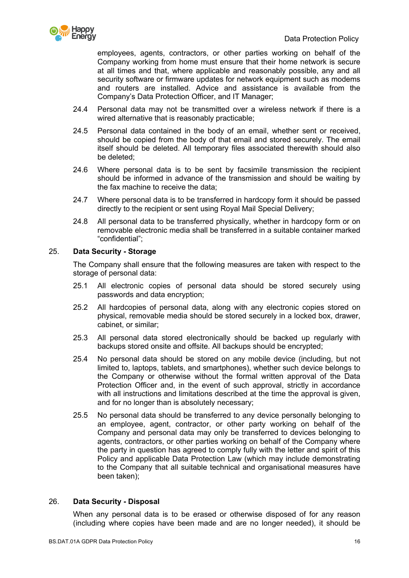

employees, agents, contractors, or other parties working on behalf of the Company working from home must ensure that their home network is secure at all times and that, where applicable and reasonably possible, any and all security software or firmware updates for network equipment such as modems and routers are installed. Advice and assistance is available from the Company's Data Protection Officer, and IT Manager;

- 24.4 Personal data may not be transmitted over a wireless network if there is a wired alternative that is reasonably practicable;
- 24.5 Personal data contained in the body of an email, whether sent or received, should be copied from the body of that email and stored securely. The email itself should be deleted. All temporary files associated therewith should also be deleted;
- 24.6 Where personal data is to be sent by facsimile transmission the recipient should be informed in advance of the transmission and should be waiting by the fax machine to receive the data;
- 24.7 Where personal data is to be transferred in hardcopy form it should be passed directly to the recipient or sent using Royal Mail Special Delivery;
- 24.8 All personal data to be transferred physically, whether in hardcopy form or on removable electronic media shall be transferred in a suitable container marked "confidential";

# 25. **Data Security - Storage**

The Company shall ensure that the following measures are taken with respect to the storage of personal data:

- 25.1 All electronic copies of personal data should be stored securely using passwords and data encryption;
- 25.2 All hardcopies of personal data, along with any electronic copies stored on physical, removable media should be stored securely in a locked box, drawer, cabinet, or similar;
- 25.3 All personal data stored electronically should be backed up regularly with backups stored onsite and offsite. All backups should be encrypted;
- 25.4 No personal data should be stored on any mobile device (including, but not limited to, laptops, tablets, and smartphones), whether such device belongs to the Company or otherwise without the formal written approval of the Data Protection Officer and, in the event of such approval, strictly in accordance with all instructions and limitations described at the time the approval is given, and for no longer than is absolutely necessary;
- 25.5 No personal data should be transferred to any device personally belonging to an employee, agent, contractor, or other party working on behalf of the Company and personal data may only be transferred to devices belonging to agents, contractors, or other parties working on behalf of the Company where the party in question has agreed to comply fully with the letter and spirit of this Policy and applicable Data Protection Law (which may include demonstrating to the Company that all suitable technical and organisational measures have been taken);

## 26. **Data Security - Disposal**

When any personal data is to be erased or otherwise disposed of for any reason (including where copies have been made and are no longer needed), it should be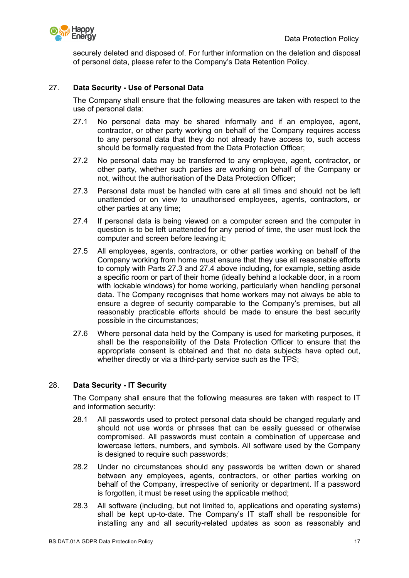

securely deleted and disposed of. For further information on the deletion and disposal of personal data, please refer to the Company's Data Retention Policy.

# 27. **Data Security - Use of Personal Data**

The Company shall ensure that the following measures are taken with respect to the use of personal data:

- 27.1 No personal data may be shared informally and if an employee, agent, contractor, or other party working on behalf of the Company requires access to any personal data that they do not already have access to, such access should be formally requested from the Data Protection Officer;
- 27.2 No personal data may be transferred to any employee, agent, contractor, or other party, whether such parties are working on behalf of the Company or not, without the authorisation of the Data Protection Officer;
- 27.3 Personal data must be handled with care at all times and should not be left unattended or on view to unauthorised employees, agents, contractors, or other parties at any time;
- 27.4 If personal data is being viewed on a computer screen and the computer in question is to be left unattended for any period of time, the user must lock the computer and screen before leaving it;
- 27.5 All employees, agents, contractors, or other parties working on behalf of the Company working from home must ensure that they use all reasonable efforts to comply with Parts 27.3 and 27.4 above including, for example, setting aside a specific room or part of their home (ideally behind a lockable door, in a room with lockable windows) for home working, particularly when handling personal data. The Company recognises that home workers may not always be able to ensure a degree of security comparable to the Company's premises, but all reasonably practicable efforts should be made to ensure the best security possible in the circumstances;
- 27.6 Where personal data held by the Company is used for marketing purposes, it shall be the responsibility of the Data Protection Officer to ensure that the appropriate consent is obtained and that no data subjects have opted out, whether directly or via a third-party service such as the TPS;

## 28. **Data Security - IT Security**

The Company shall ensure that the following measures are taken with respect to IT and information security:

- 28.1 All passwords used to protect personal data should be changed regularly and should not use words or phrases that can be easily guessed or otherwise compromised. All passwords must contain a combination of uppercase and lowercase letters, numbers, and symbols. All software used by the Company is designed to require such passwords;
- 28.2 Under no circumstances should any passwords be written down or shared between any employees, agents, contractors, or other parties working on behalf of the Company, irrespective of seniority or department. If a password is forgotten, it must be reset using the applicable method;
- 28.3 All software (including, but not limited to, applications and operating systems) shall be kept up-to-date. The Company's IT staff shall be responsible for installing any and all security-related updates as soon as reasonably and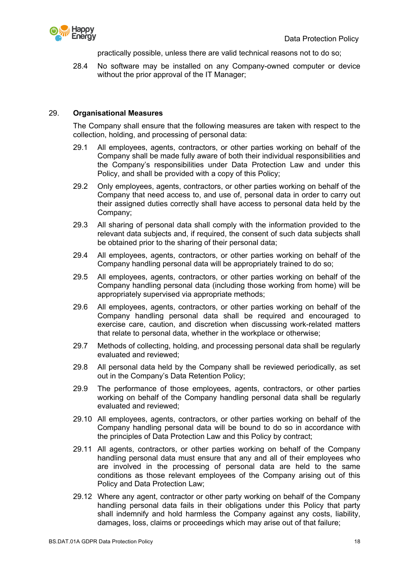

practically possible, unless there are valid technical reasons not to do so;

28.4 No software may be installed on any Company-owned computer or device without the prior approval of the IT Manager:

## 29. **Organisational Measures**

The Company shall ensure that the following measures are taken with respect to the collection, holding, and processing of personal data:

- 29.1 All employees, agents, contractors, or other parties working on behalf of the Company shall be made fully aware of both their individual responsibilities and the Company's responsibilities under Data Protection Law and under this Policy, and shall be provided with a copy of this Policy;
- 29.2 Only employees, agents, contractors, or other parties working on behalf of the Company that need access to, and use of, personal data in order to carry out their assigned duties correctly shall have access to personal data held by the Company;
- 29.3 All sharing of personal data shall comply with the information provided to the relevant data subjects and, if required, the consent of such data subjects shall be obtained prior to the sharing of their personal data;
- 29.4 All employees, agents, contractors, or other parties working on behalf of the Company handling personal data will be appropriately trained to do so;
- 29.5 All employees, agents, contractors, or other parties working on behalf of the Company handling personal data (including those working from home) will be appropriately supervised via appropriate methods;
- 29.6 All employees, agents, contractors, or other parties working on behalf of the Company handling personal data shall be required and encouraged to exercise care, caution, and discretion when discussing work-related matters that relate to personal data, whether in the workplace or otherwise;
- 29.7 Methods of collecting, holding, and processing personal data shall be regularly evaluated and reviewed;
- 29.8 All personal data held by the Company shall be reviewed periodically, as set out in the Company's Data Retention Policy;
- 29.9 The performance of those employees, agents, contractors, or other parties working on behalf of the Company handling personal data shall be regularly evaluated and reviewed;
- 29.10 All employees, agents, contractors, or other parties working on behalf of the Company handling personal data will be bound to do so in accordance with the principles of Data Protection Law and this Policy by contract;
- 29.11 All agents, contractors, or other parties working on behalf of the Company handling personal data must ensure that any and all of their employees who are involved in the processing of personal data are held to the same conditions as those relevant employees of the Company arising out of this Policy and Data Protection Law;
- 29.12 Where any agent, contractor or other party working on behalf of the Company handling personal data fails in their obligations under this Policy that party shall indemnify and hold harmless the Company against any costs, liability, damages, loss, claims or proceedings which may arise out of that failure;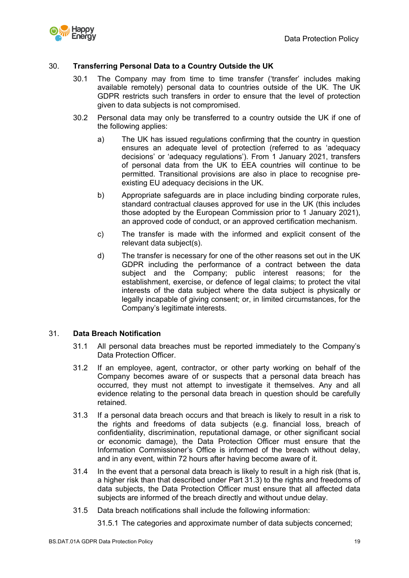

# 30. **Transferring Personal Data to a Country Outside the UK**

- 30.1 The Company may from time to time transfer ('transfer' includes making available remotely) personal data to countries outside of the UK. The UK GDPR restricts such transfers in order to ensure that the level of protection given to data subjects is not compromised.
- 30.2 Personal data may only be transferred to a country outside the UK if one of the following applies:
	- a) The UK has issued regulations confirming that the country in question ensures an adequate level of protection (referred to as 'adequacy decisions' or 'adequacy regulations'). From 1 January 2021, transfers of personal data from the UK to EEA countries will continue to be permitted. Transitional provisions are also in place to recognise preexisting EU adequacy decisions in the UK.
	- b) Appropriate safeguards are in place including binding corporate rules, standard contractual clauses approved for use in the UK (this includes those adopted by the European Commission prior to 1 January 2021), an approved code of conduct, or an approved certification mechanism.
	- c) The transfer is made with the informed and explicit consent of the relevant data subject(s).
	- d) The transfer is necessary for one of the other reasons set out in the UK GDPR including the performance of a contract between the data subject and the Company; public interest reasons; for the establishment, exercise, or defence of legal claims; to protect the vital interests of the data subject where the data subject is physically or legally incapable of giving consent; or, in limited circumstances, for the Company's legitimate interests.

## 31. **Data Breach Notification**

- 31.1 All personal data breaches must be reported immediately to the Company's Data Protection Officer.
- 31.2 If an employee, agent, contractor, or other party working on behalf of the Company becomes aware of or suspects that a personal data breach has occurred, they must not attempt to investigate it themselves. Any and all evidence relating to the personal data breach in question should be carefully retained.
- 31.3 If a personal data breach occurs and that breach is likely to result in a risk to the rights and freedoms of data subjects (e.g. financial loss, breach of confidentiality, discrimination, reputational damage, or other significant social or economic damage), the Data Protection Officer must ensure that the Information Commissioner's Office is informed of the breach without delay, and in any event, within 72 hours after having become aware of it.
- 31.4 In the event that a personal data breach is likely to result in a high risk (that is, a higher risk than that described under Part 31.3) to the rights and freedoms of data subjects, the Data Protection Officer must ensure that all affected data subjects are informed of the breach directly and without undue delay.
- 31.5 Data breach notifications shall include the following information:

31.5.1 The categories and approximate number of data subjects concerned;